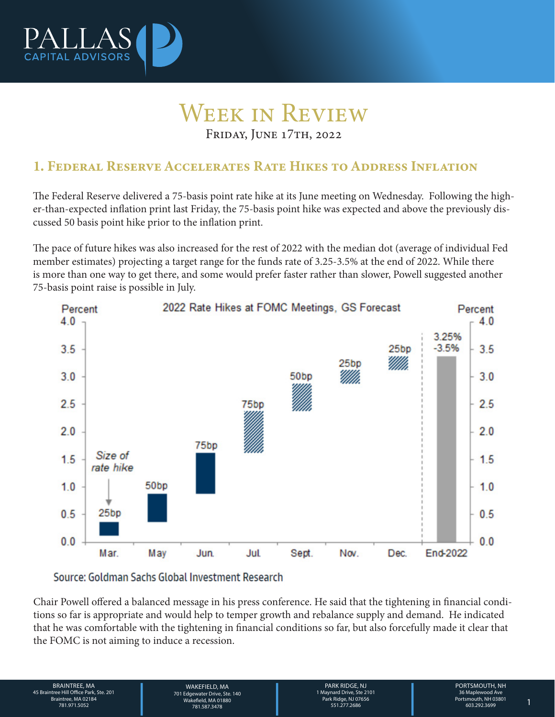

## Week in Review Friday, June 17th, 2022

1. Federal Reserve Accelerates Rate Hikes to Address Inflation

The Federal Reserve delivered a 75-basis point rate hike at its June meeting on Wednesday. Following the higher-than-expected inflation print last Friday, the 75-basis point hike was expected and above the previously discussed 50 basis point hike prior to the inflation print.

The pace of future hikes was also increased for the rest of 2022 with the median dot (average of individual Fed member estimates) projecting a target range for the funds rate of 3.25-3.5% at the end of 2022. While there is more than one way to get there, and some would prefer faster rather than slower, Powell suggested another 75-basis point raise is possible in July.



Source: Goldman Sachs Global Investment Research

Chair Powell offered a balanced message in his press conference. He said that the tightening in financial conditions so far is appropriate and would help to temper growth and rebalance supply and demand. He indicated that he was comfortable with the tightening in financial conditions so far, but also forcefully made it clear that the FOMC is not aiming to induce a recession.

BRAINTREE, MA 45 Braintree Hill Office Park, Ste. 201 Braintree, MA 02184

WAKEFIELD, MA<br>
701 Edgewater Drive, Ste. 140<br>
28 Wakefield, MA 01880<br>
781.587.3478<br>
PORTSMOUTH, NH<br>
28 Maplewood Ave Park Ridge, NJ 07656<br>
281.51.277.2686<br>
281.51.277.2686<br>
28 Maplewood Ave Park Ridge, NJ 07656<br>
281.51.277 WAKFFIFI D. MA 701 Edgewater Drive, Ste. 140 Wakefield, MA 01880 781.587.3478 781.971.5052 1

PARK RIDGE, NJ 1 Maynard Drive, Ste 2101 Park Ridge, NJ 07656 551.277.2686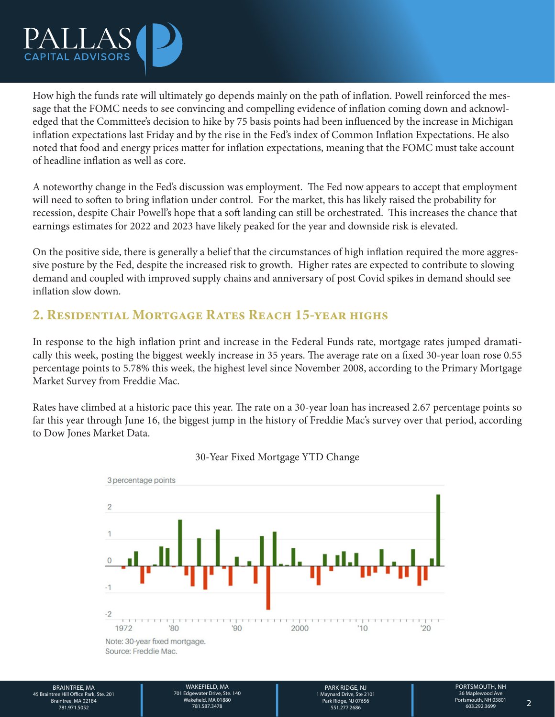

How high the funds rate will ultimately go depends mainly on the path of inflation. Powell reinforced the message that the FOMC needs to see convincing and compelling evidence of inflation coming down and acknowledged that the Committee's decision to hike by 75 basis points had been influenced by the increase in Michigan inflation expectations last Friday and by the rise in the Fed's index of Common Inflation Expectations. He also noted that food and energy prices matter for inflation expectations, meaning that the FOMC must take account of headline inflation as well as core.

A noteworthy change in the Fed's discussion was employment. The Fed now appears to accept that employment will need to soften to bring inflation under control. For the market, this has likely raised the probability for recession, despite Chair Powell's hope that a soft landing can still be orchestrated. This increases the chance that earnings estimates for 2022 and 2023 have likely peaked for the year and downside risk is elevated.

On the positive side, there is generally a belief that the circumstances of high inflation required the more aggressive posture by the Fed, despite the increased risk to growth. Higher rates are expected to contribute to slowing demand and coupled with improved supply chains and anniversary of post Covid spikes in demand should see inflation slow down.

## 2. Residential Mortgage Rates Reach 15-year highs

In response to the high inflation print and increase in the Federal Funds rate, mortgage rates jumped dramatically this week, posting the biggest weekly increase in 35 years. The average rate on a fixed 30-year loan rose 0.55 percentage points to 5.78% this week, the highest level since November 2008, according to the Primary Mortgage Market Survey from Freddie Mac.

Rates have climbed at a historic pace this year. The rate on a 30-year loan has increased 2.67 percentage points so far this year through June 16, the biggest jump in the history of Freddie Mac's survey over that period, according to Dow Jones Market Data.



30-Year Fixed Mortgage YTD Change

BRAINTREE, MA 45 Braintree Hill Office Park, Ste. 201 Braintree, MA 02184

WAKEFIELD, MA<br>
701 Edgewater Drive, Ste. 140<br>
19 Wakefield, MA 01880<br>
781.587.3478<br>
781.587.3478<br>
PORTSMOUTH, NH<br>
19 Maynard Drive, Ste 2101<br>
PORTSMOUTH, NH<br>
19 Maynard Drive, Ste 2101<br>
Portsmouth, NH 03801<br>
Portsmouth, NH WAKEFIELD, MA 701 Edgewater Drive, Ste. 140 Wakefield, MA 01880 781.587.3478 781.971.5052 2

PARK RIDGE, NJ 1 Maynard Drive, Ste 2101 Park Ridge, NJ 07656 551.277.2686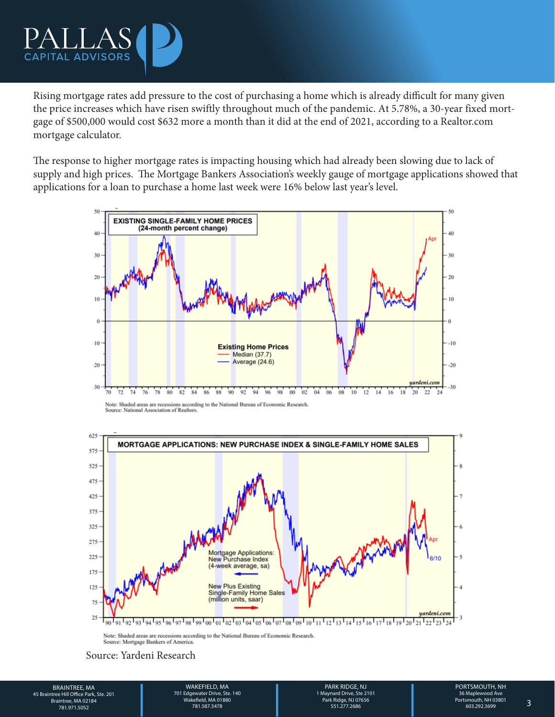

Rising mortgage rates add pressure to the cost of purchasing a home which is already difficult for many given the price increases which have risen swiftly throughout much of the pandemic. At 5.78%, a 30-year fixed mortgage of \$500,000 would cost \$632 more a month than it did at the end of 2021, according to a Realtor.com mortgage calculator.

The response to higher mortgage rates is impacting housing which had already been slowing due to lack of supply and high prices. The Mortgage Bankers Association's weekly gauge of mortgage applications showed that applications for a loan to purchase a home last week were 16% below last year's level.



Note: Shaded areas are recessions according to the National Bureau of Economic Research. Source: National Association of Realtors



Note: Shaded areas are recessions according to the National Bureau of Economic Research. Source: Mortgage Bankers of America

Source: Yardeni Research

BRAINTREE, MA MAKEFIELD, MA MAKEFIELD, MA PARK RIDGE, NJ PORTSMOUTH, NH<br>26 Braintree Hill Office Park, Ste. 201<br>26 Braintree, MA 02184 Mayara May and Drive, Ste. 140<br>281.971.5052 781.971.5052 781.587.3478 731.97556 781.971 BRAINTREE, MA 45 Braintree Hill Office Park, Ste. 201 Braintree, MA 02184

WAKEFIELD, MA 701 Edgewater Drive, Ste. 140 Wakefield, MA 01880 781.587.3478 781.971.5052 3

PARK RIDGE, NJ 1 Maynard Drive, Ste 2101 Park Ridge, NJ 07656 551.277.2686